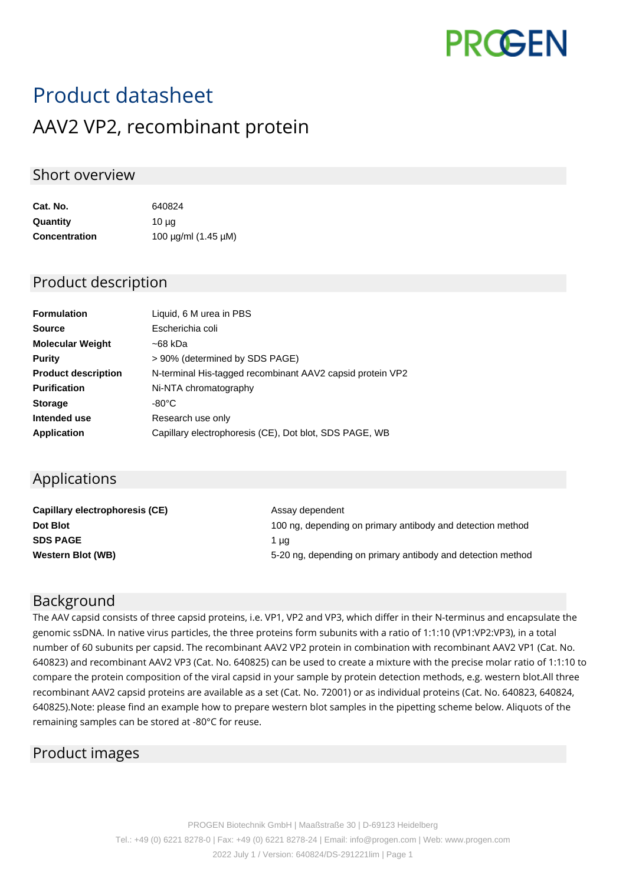

# Product datasheet AAV2 VP2, recombinant protein

### Short overview

| Cat. No.             | 640824                        |
|----------------------|-------------------------------|
| Quantity             | 10 µg                         |
| <b>Concentration</b> | 100 $\mu$ g/ml (1.45 $\mu$ M) |

#### Product description

| <b>Formulation</b>         | Liquid, 6 M urea in PBS                                   |
|----------------------------|-----------------------------------------------------------|
| <b>Source</b>              | Escherichia coli                                          |
| <b>Molecular Weight</b>    | ~68 kDa                                                   |
| <b>Purity</b>              | > 90% (determined by SDS PAGE)                            |
| <b>Product description</b> | N-terminal His-tagged recombinant AAV2 capsid protein VP2 |
| <b>Purification</b>        | Ni-NTA chromatography                                     |
| <b>Storage</b>             | $-80^{\circ}$ C                                           |
| Intended use               | Research use only                                         |
| Application                | Capillary electrophoresis (CE), Dot blot, SDS PAGE, WB    |

# Applications

| Capillary electrophoresis (CE) | Assay dependent                                             |
|--------------------------------|-------------------------------------------------------------|
| Dot Blot                       | 100 ng, depending on primary antibody and detection method  |
| <b>SDS PAGE</b>                | 1 µa                                                        |
| <b>Western Blot (WB)</b>       | 5-20 ng, depending on primary antibody and detection method |

# Background

The AAV capsid consists of three capsid proteins, i.e. VP1, VP2 and VP3, which differ in their N-terminus and encapsulate the genomic ssDNA. In native virus particles, the three proteins form subunits with a ratio of 1:1:10 (VP1:VP2:VP3), in a total number of 60 subunits per capsid. The recombinant AAV2 VP2 protein in combination with recombinant AAV2 VP1 (Cat. No. 640823) and recombinant AAV2 VP3 (Cat. No. 640825) can be used to create a mixture with the precise molar ratio of 1:1:10 to compare the protein composition of the viral capsid in your sample by protein detection methods, e.g. western blot.All three recombinant AAV2 capsid proteins are available as a set (Cat. No. 72001) or as individual proteins (Cat. No. 640823, 640824, 640825).Note: please find an example how to prepare western blot samples in the pipetting scheme below. Aliquots of the remaining samples can be stored at -80°C for reuse.

# Product images